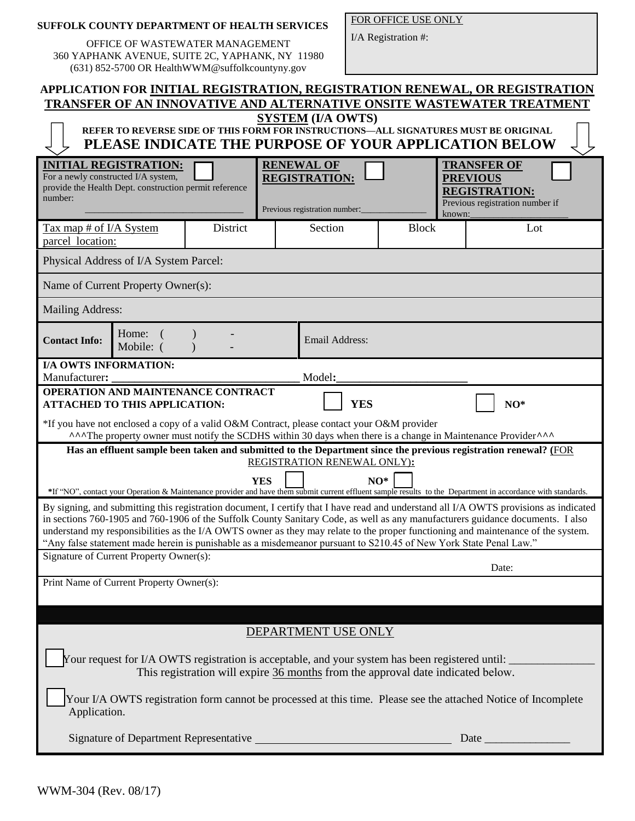|  | <b>SUFFOLK COUNTY DEPARTMENT OF HEALTH SERVICES</b> |  |  |
|--|-----------------------------------------------------|--|--|
|  |                                                     |  |  |

OFFICE OF WASTEWATER MANAGEMENT 360 YAPHANK AVENUE, SUITE 2C, YAPHANK, NY 11980 (631) 852-5700 OR HealthWWM@suffolkcountyny.gov

FOR OFFICE USE ONLY

I/A Registration #:

| APPLICATION FOR INITIAL REGISTRATION, REGISTRATION RENEWAL, OR REGISTRATION<br>TRANSFER OF AN INNOVATIVE AND ALTERNATIVE ONSITE WASTEWATER TREATMENT<br><b>SYSTEM (I/A OWTS)</b><br>REFER TO REVERSE SIDE OF THIS FORM FOR INSTRUCTIONS-ALL SIGNATURES MUST BE ORIGINAL                                                                                                                                                                                                                                                          |                                          |            |                             |                                        |                                                                                                                                                              |  |  |  |
|----------------------------------------------------------------------------------------------------------------------------------------------------------------------------------------------------------------------------------------------------------------------------------------------------------------------------------------------------------------------------------------------------------------------------------------------------------------------------------------------------------------------------------|------------------------------------------|------------|-----------------------------|----------------------------------------|--------------------------------------------------------------------------------------------------------------------------------------------------------------|--|--|--|
| PLEASE INDICATE THE PURPOSE OF YOUR APPLICATION BELOW<br><b>RENEWAL OF</b><br><b>INITIAL REGISTRATION:</b><br><b>TRANSFER OF</b><br>For a newly constructed I/A system,<br><b>REGISTRATION:</b><br><b>PREVIOUS</b><br>provide the Health Dept. construction permit reference<br><b>REGISTRATION:</b><br>number:<br>Previous registration number if<br>Previous registration number:<br>known:                                                                                                                                    |                                          |            |                             |                                        |                                                                                                                                                              |  |  |  |
| Tax map # of I/A System<br>parcel location:                                                                                                                                                                                                                                                                                                                                                                                                                                                                                      |                                          | District   | Section                     | <b>Block</b>                           | Lot                                                                                                                                                          |  |  |  |
| Physical Address of I/A System Parcel:                                                                                                                                                                                                                                                                                                                                                                                                                                                                                           |                                          |            |                             |                                        |                                                                                                                                                              |  |  |  |
| Name of Current Property Owner(s):                                                                                                                                                                                                                                                                                                                                                                                                                                                                                               |                                          |            |                             |                                        |                                                                                                                                                              |  |  |  |
| <b>Mailing Address:</b>                                                                                                                                                                                                                                                                                                                                                                                                                                                                                                          |                                          |            |                             |                                        |                                                                                                                                                              |  |  |  |
| <b>Contact Info:</b>                                                                                                                                                                                                                                                                                                                                                                                                                                                                                                             | Home:<br>Email Address:<br>Mobile: (     |            |                             |                                        |                                                                                                                                                              |  |  |  |
| <b>I/A OWTS INFORMATION:</b><br>Model:<br>Manufacturer:                                                                                                                                                                                                                                                                                                                                                                                                                                                                          |                                          |            |                             |                                        |                                                                                                                                                              |  |  |  |
| OPERATION AND MAINTENANCE CONTRACT<br><b>YES</b><br>$NO*$<br><b>ATTACHED TO THIS APPLICATION:</b>                                                                                                                                                                                                                                                                                                                                                                                                                                |                                          |            |                             |                                        |                                                                                                                                                              |  |  |  |
| *If you have not enclosed a copy of a valid O&M Contract, please contact your O&M provider<br>AAAThe property owner must notify the SCDHS within 30 days when there is a change in Maintenance ProviderAAA                                                                                                                                                                                                                                                                                                                       |                                          |            |                             |                                        |                                                                                                                                                              |  |  |  |
|                                                                                                                                                                                                                                                                                                                                                                                                                                                                                                                                  |                                          |            | REGISTRATION RENEWAL ONLY): |                                        | Has an effluent sample been taken and submitted to the Department since the previous registration renewal? (FOR                                              |  |  |  |
|                                                                                                                                                                                                                                                                                                                                                                                                                                                                                                                                  |                                          | <b>YES</b> |                             | $NO^*$                                 | *If "NO", contact your Operation & Maintenance provider and have them submit current effluent sample results to the Department in accordance with standards. |  |  |  |
| By signing, and submitting this registration document, I certify that I have read and understand all I/A OWTS provisions as indicated<br>in sections 760-1905 and 760-1906 of the Suffolk County Sanitary Code, as well as any manufacturers guidance documents. I also<br>understand my responsibilities as the I/A OWTS owner as they may relate to the proper functioning and maintenance of the system.<br>"Any false statement made herein is punishable as a misdemeanor pursuant to S210.45 of New York State Penal Law." |                                          |            |                             |                                        |                                                                                                                                                              |  |  |  |
| Signature of Current Property Owner(s):                                                                                                                                                                                                                                                                                                                                                                                                                                                                                          | Date:                                    |            |                             |                                        |                                                                                                                                                              |  |  |  |
|                                                                                                                                                                                                                                                                                                                                                                                                                                                                                                                                  | Print Name of Current Property Owner(s): |            |                             |                                        |                                                                                                                                                              |  |  |  |
|                                                                                                                                                                                                                                                                                                                                                                                                                                                                                                                                  |                                          |            |                             |                                        |                                                                                                                                                              |  |  |  |
| DEPARTMENT USE ONLY<br>Your request for I/A OWTS registration is acceptable, and your system has been registered until:<br>This registration will expire 36 months from the approval date indicated below.                                                                                                                                                                                                                                                                                                                       |                                          |            |                             |                                        |                                                                                                                                                              |  |  |  |
| Your I/A OWTS registration form cannot be processed at this time. Please see the attached Notice of Incomplete<br>Application.                                                                                                                                                                                                                                                                                                                                                                                                   |                                          |            |                             |                                        |                                                                                                                                                              |  |  |  |
|                                                                                                                                                                                                                                                                                                                                                                                                                                                                                                                                  |                                          |            |                             | Signature of Department Representative |                                                                                                                                                              |  |  |  |